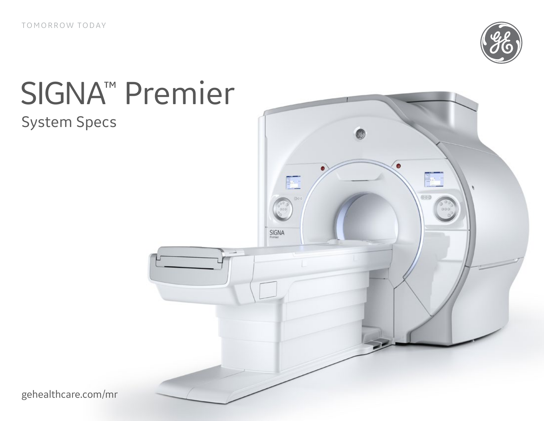

# SIGNA™ Premier

### System Specs



gehealthcare.com/mr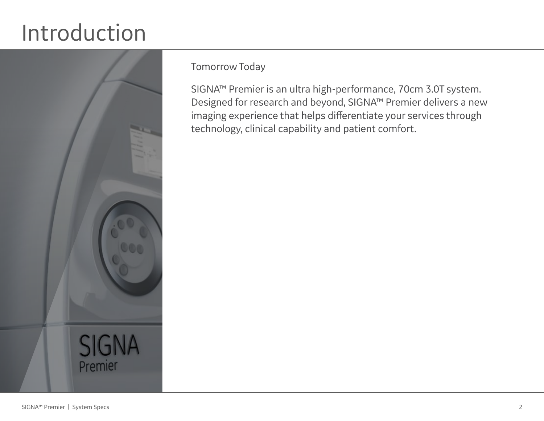## Introduction



Tomorrow Today

SIGNA™ Premier is an ultra high-performance, 70cm 3.0T system. Designed for research and beyond, SIGNA™ Premier delivers a new imaging experience that helps differentiate your services through technology, clinical capability and patient comfort.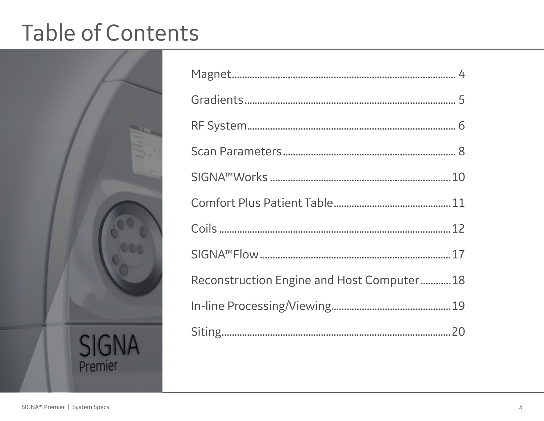## Table of Contents



| Reconstruction Engine and Host Computer18 |  |
|-------------------------------------------|--|
|                                           |  |
|                                           |  |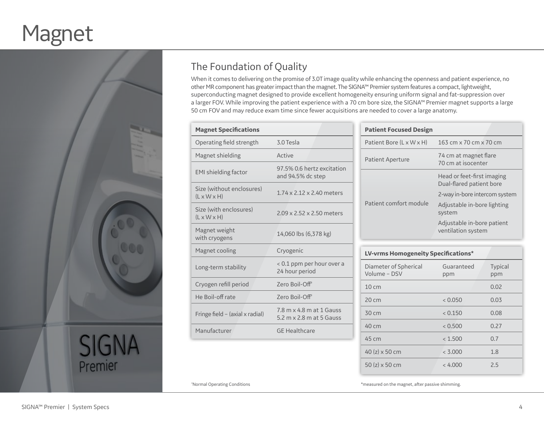## Magnet



### The Foundation of Quality

When it comes to delivering on the promise of 3.0T image quality while enhancing the openness and patient experience, no other MR component has greater impact than the magnet. The SIGNA™ Premier system features a compact, lightweight, superconducting magnet designed to provide excellent homogeneity ensuring uniform signal and fat-suppression over a larger FOV. While improving the patient experience with a 70 cm bore size, the SIGNA™ Premier magnet supports a large 50 cm FOV and may reduce exam time since fewer acquisitions are needed to cover a large anatomy.

| <b>Magnet Specifications</b>                         |                                                      |
|------------------------------------------------------|------------------------------------------------------|
| Operating field strength                             | 3.0 Tesla                                            |
| Magnet shielding                                     | Active                                               |
| <b>EMI</b> shielding factor                          | 97.5% 0.6 hertz excitation<br>and 94.5% dc step      |
| Size (without enclosures)<br>$(L \times W \times H)$ | $1.74 \times 2.12 \times 2.40$ meters                |
| Size (with enclosures)<br>$(L \times W \times H)$    | 2.09 x 2.52 x 2.50 meters                            |
| Magnet weight<br>with cryogens                       | 14,060 lbs (6,378 kg)                                |
| Magnet cooling                                       | Cryogenic                                            |
| Long-term stability                                  | < 0.1 ppm per hour over a<br>24 hour period          |
| Cryogen refill period                                | Zero Boil-Off <sup>*</sup>                           |
| He Boil-off rate                                     | Zero Boil-Off <sup>*</sup>                           |
| Fringe field - (axial x radial)                      | 7.8 m x 4.8 m at 1 Gauss<br>5.2 m x 2.8 m at 5 Gauss |
| Manufacturer                                         | <b>GE Healthcare</b>                                 |

| <b>Patient Focused Design</b>        |                                                            |
|--------------------------------------|------------------------------------------------------------|
| Patient Bore $(L \times W \times H)$ | $163 \text{ cm} \times 70 \text{ cm} \times 70 \text{ cm}$ |
| <b>Patient Aperture</b>              | 74 cm at magnet flare<br>70 cm at isocenter                |
|                                      | Head or feet-first imaging<br>Dual-flared patient bore     |
|                                      | 2-way in-bore intercom system                              |
| Patient comfort module               | Adjustable in-bore lighting<br>system                      |
|                                      | Adjustable in-bore patient<br>ventilation system           |

| LV-vrms Homogeneity Specifications*   |                   |                       |
|---------------------------------------|-------------------|-----------------------|
| Diameter of Spherical<br>Volume - DSV | Guaranteed<br>ppm | <b>Typical</b><br>ppm |
| 10 <sub>cm</sub>                      |                   | 0.02                  |
| $20 \text{ cm}$                       | < 0.050           | 0.03                  |
| 30 cm                                 | < 0.150           | 0.08                  |
| 40 cm                                 | < 0.500           | 0.27                  |
| 45 cm                                 | < 1.500           | 0.7                   |
| 40 ( $z) \times 50$ cm                | < 3.000           | 1.8                   |
| 50 (z) x 50 cm                        | < 4.000           | 2.5                   |

*\*Normal Operating Conditions* 

\*measured on the magnet, after passive shimming.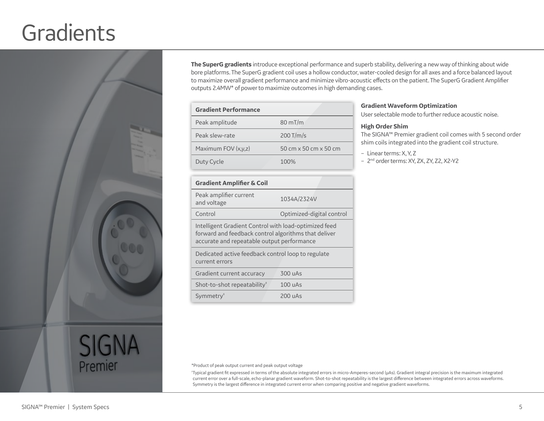### **Gradients**



**The SuperG gradients** introduce exceptional performance and superb stability, delivering a new way of thinking about wide bore platforms. The SuperG gradient coil uses a hollow conductor, water-cooled design for all axes and a force balanced layout to maximize overall gradient performance and minimize vibro-acoustic effects on the patient. The SuperG Gradient Amplifier outputs 2.4MW\* of power to maximize outcomes in high demanding cases.

| <b>Gradient Performance</b> |                       |
|-----------------------------|-----------------------|
| Peak amplitude              | $80 \text{ mT/m}$     |
| Peak slew-rate              | $200$ T/m/s           |
| Maximum FOV (x,y,z)         | 50 cm x 50 cm x 50 cm |
| Duty Cycle                  | 100%                  |

#### **Gradient Amplifier & Coil**

| Peak amplifier current<br>and voltage                                                                                                                       | 1034A/2324V               |
|-------------------------------------------------------------------------------------------------------------------------------------------------------------|---------------------------|
| Control                                                                                                                                                     | Optimized-digital control |
| Intelligent Gradient Control with load-optimized feed<br>forward and feedback control algorithms that deliver<br>accurate and repeatable output performance |                           |
| Dedicated active feedback control loop to regulate<br>current errors                                                                                        |                           |
| Gradient current accuracy                                                                                                                                   | 300 uAs                   |
| Shot-to-shot repeatability <sup>*</sup>                                                                                                                     | 100 uAs                   |
| Symmetry <sup>*</sup>                                                                                                                                       | 200 UAS                   |
|                                                                                                                                                             |                           |

\*Product of peak output current and peak output voltage

‡ Typical gradient fit expressed in terms of the absolute integrated errors in micro-Amperes-second (μAs). Gradient integral precision is the maximum integrated current error over a full-scale, echo-planar gradient waveform. Shot-to-shot repeatability is the largest difference between integrated errors across waveforms. Symmetry is the largest difference in integrated current error when comparing positive and negative gradient waveforms.

#### **Gradient Waveform Optimization**

User selectable mode to further reduce acoustic noise.

#### **High Order Shim**

The SIGNA™ Premier gradient coil comes with 5 second order shim coils integrated into the gradient coil structure.

– Linear terms: X, Y, Z

- 2<sup>nd</sup> order terms: XY, ZX, ZY, Z2, X2-Y2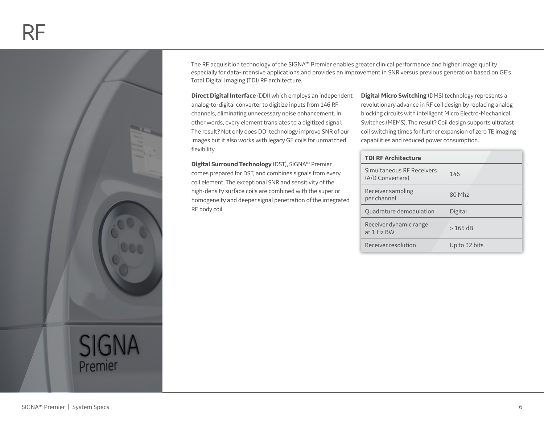

The RF acquisition technology of the SIGNA™ Premier enables greater clinical performance and higher image quality especially for data-intensive applications and provides an improvement in SNR versus previous generation based on GE's Total Digital Imaging (TDI) RF architecture.

**Direct Digital Interface** (DDI) which employs an independent analog-to-digital converter to digitize inputs from 146 RF channels, eliminating unnecessary noise enhancement. In other words, every element translates to a digitized signal. The result? Not only does DDI technology improve SNR of our images but it also works with legacy GE coils for unmatched flexibility.

**Digital Surround Technology** (DST), SIGNA™ Premier comes prepared for DST, and combines signals from every coil element. The exceptional SNR and sensitivity of the high-density surface coils are combined with the superior homogeneity and deeper signal penetration of the integrated RF body coil.

**Digital Micro Switching** (DMS) technology represents a revolutionary advance in RF coil design by replacing analog blocking circuits with intelligent Micro Electro-Mechanical Switches (MEMS). The result? Coil design supports ultrafast coil switching times for further expansion of zero TE imaging capabilities and reduced power consumption.

#### **TDI RF Architecture**

| Simultaneous RF Receivers<br>(A/D Converters) | 146           |
|-----------------------------------------------|---------------|
| Receiver sampling<br>per channel              | 80 Mhz        |
| Quadrature demodulation                       | Digital       |
| Receiver dynamic range<br>at 1 Hz BW          | $>165$ dB     |
| Receiver resolution                           | Up to 32 bits |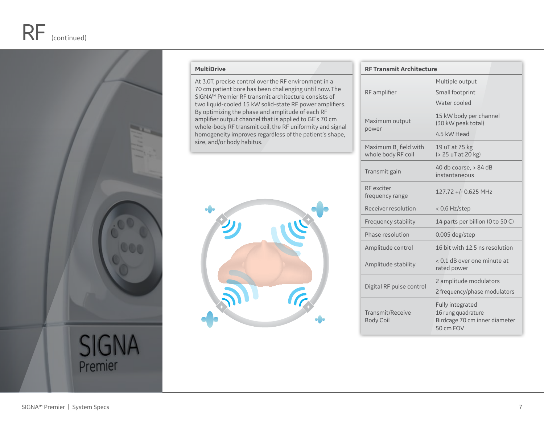

#### **MultiDrive**

At 3.0T, precise control over the RF environment in a 70 cm patient bore has been challenging until now. The SIGNA™ Premier RF transmit architecture consists of two liquid-cooled 15 kW solid-state RF power amplifiers. By optimizing the phase and amplitude of each RF amplifier output channel that is applied to GE's 70 cm whole-body RF transmit coil, the RF uniformity and signal homogeneity improves regardless of the patient's shape, size, and/or body habitus.



#### **RF Transmit Architecture** RF amplifier Multiple output Small footprint Water cooled Maximum output power 15 kW body per channel (30 kW peak total) 4.5 kW Head Maximum  $B_1$  field with whole body RF coil 19 uT at 75 kg (> 25 uT at 20 kg) Transmit gain 40 db coarse, > 84 dB instantaneous RF exciter frequency range 127.72 +/- 0.625 MHz Receiver resolution < 0.6 Hz/step Frequency stability 14 parts per billion (0 to 50 C) Phase resolution 0.005 deg/step Amplitude control 16 bit with 12.5 ns resolution Amplitude stability < 0.1 dB over one minute at rated power Digital RF pulse control 2 amplitude modulators 2 frequency/phase modulators Transmit/Receive Fully integrated 16 rung quadrature

Body Coil

Birdcage 70 cm inner diameter

50 cm FOV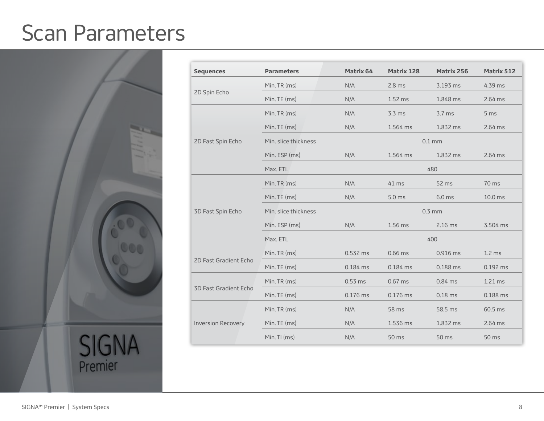### Scan Parameters



| <b>Sequences</b>          | <b>Parameters</b>    | Matrix 64  | <b>Matrix 128</b> | Matrix 256 | <b>Matrix 512</b>  |
|---------------------------|----------------------|------------|-------------------|------------|--------------------|
|                           | Min. TR (ms)         | N/A        | $2.8$ ms          | 3.193 ms   | 4.39 ms            |
| 2D Spin Echo              | Min. TE (ms)         | N/A        | $1.52$ ms         | 1.848 ms   | $2.64$ ms          |
|                           | Min. TR (ms)         | N/A        | $3.3 \text{ ms}$  | $3.7$ ms   | 5 <sub>ms</sub>    |
|                           | Min. TE (ms)         | N/A        | 1.564 ms          | 1.832 ms   | 2.64 ms            |
| 2D Fast Spin Echo         | Min. slice thickness |            |                   | $0.1$ mm   |                    |
|                           | Min. ESP (ms)        | N/A        | 1.564 ms          | 1.832 ms   | $2.64$ ms          |
|                           | Max. ETL             |            |                   | 480        |                    |
|                           | Min. TR (ms)         | N/A        | 41 ms             | 52 ms      | 70 ms              |
|                           | Min. TE (ms)         | N/A        | $5.0$ ms          | $6.0$ ms   | 10.0 <sub>ms</sub> |
| 3D Fast Spin Echo         | Min. slice thickness | $0.3$ mm   |                   |            |                    |
|                           | Min. ESP (ms)        | N/A        | 1.56 ms           | $2.16$ ms  | 3.504 ms           |
|                           | Max. ETL             | 400        |                   |            |                    |
|                           | Min. TR (ms)         | 0.532 ms   | 0.66 ms           | 0.916 ms   | $1.2$ ms           |
| 2D Fast Gradient Echo     | Min. TE (ms)         | $0.184$ ms | $0.184$ ms        | 0.188 ms   | $0.192$ ms         |
| 3D Fast Gradient Echo     | Min. TR (ms)         | $0.53$ ms  | $0.67$ ms         | $0.84$ ms  | 1.21 ms            |
|                           | Min. TE (ms)         | $0.176$ ms | 0.176 ms          | $0.18$ ms  | 0.188 ms           |
|                           | Min. TR (ms)         | N/A        | 58 ms             | 58.5 ms    | $60.5$ ms          |
| <b>Inversion Recovery</b> | Min. TE (ms)         | N/A        | 1.536 ms          | 1.832 ms   | $2.64$ ms          |
|                           | Min. TI (ms)         | N/A        | 50 ms             | 50 ms      | 50 ms              |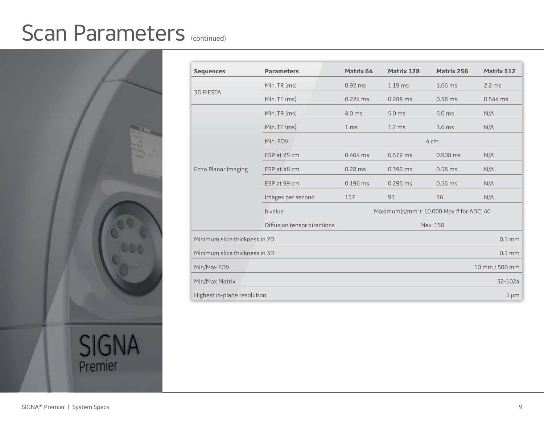### Scan Parameters (continued)



| <b>Sequences</b>              | <b>Parameters</b>                       | <b>Matrix 64</b>                                      | <b>Matrix 128</b> | <b>Matrix 256</b> | <b>Matrix 512</b>  |
|-------------------------------|-----------------------------------------|-------------------------------------------------------|-------------------|-------------------|--------------------|
|                               | Min. TR (ms)                            | $0.92$ ms                                             | $1.19$ ms         | 1.66 ms           | $2.2$ ms           |
| <b>3D FIESTA</b>              | Min. TE (ms)                            | $0.224$ ms                                            | 0.288 ms          | $0.38$ ms         | $0.544$ ms         |
|                               | Min. TR (ms)                            | $4.0$ ms                                              | 5.0 <sub>ms</sub> | $6.0$ ms          | N/A                |
|                               | Min. TE (ms)                            | 1 <sub>ms</sub>                                       | 1.2 <sub>ms</sub> | 1.6 <sub>ms</sub> | N/A                |
|                               | Min. FOV                                | 4 cm                                                  |                   |                   |                    |
|                               | ESP at 25 cm                            | $0.404$ ms                                            | $0.572$ ms        | 0.908 ms          | N/A                |
| Echo Planar Imaging           | ESP at 48 cm                            | 0.28 ms                                               | 0.396 ms          | $0.58$ ms         | N/A                |
|                               | ESP at 99 cm                            | $0.196$ ms                                            | 0.296 ms          | $0.56$ ms         | N/A                |
|                               | Images per second                       | 157                                                   | 93                | 36                | N/A                |
|                               | b value                                 | Maximum(s/mm <sup>2</sup> ): 10.000 Max # for ADC: 40 |                   |                   |                    |
|                               | Diffusion tensor directions<br>Max: 150 |                                                       |                   |                   |                    |
| Minimum slice thickness in 2D |                                         |                                                       |                   |                   | $0.1 \, \text{mm}$ |
| Minimum slice thickness in 3D |                                         |                                                       |                   |                   | $0.1$ mm           |
| Min/Max FOV                   |                                         |                                                       |                   |                   | 10 mm / 500 mm     |
| Min/Max Matrix                |                                         |                                                       |                   |                   | 32-1024            |
| Highest in-plane resolution   |                                         |                                                       |                   |                   | $5 \mu m$          |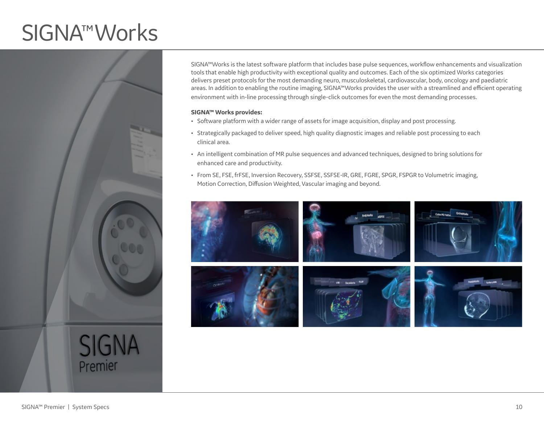## SIGNA™Works



SIGNA™Works is the latest software platform that includes base pulse sequences, workflow enhancements and visualization tools that enable high productivity with exceptional quality and outcomes. Each of the six optimized Works categories delivers preset protocols for the most demanding neuro, musculoskeletal, cardiovascular, body, oncology and paediatric areas. In addition to enabling the routine imaging, SIGNA™Works provides the user with a streamlined and efficient operating environment with in-line processing through single-click outcomes for even the most demanding processes.

#### **SIGNA™ Works provides:**

- Software platform with a wider range of assets for image acquisition, display and post processing.
- Strategically packaged to deliver speed, high quality diagnostic images and reliable post processing to each clinical area.
- An intelligent combination of MR pulse sequences and advanced techniques, designed to bring solutions for enhanced care and productivity.
- From SE, FSE, frFSE, Inversion Recovery, SSFSE, SSFSE-IR, GRE, FGRE, SPGR, FSPGR to Volumetric imaging, Motion Correction, Diffusion Weighted, Vascular imaging and beyond.

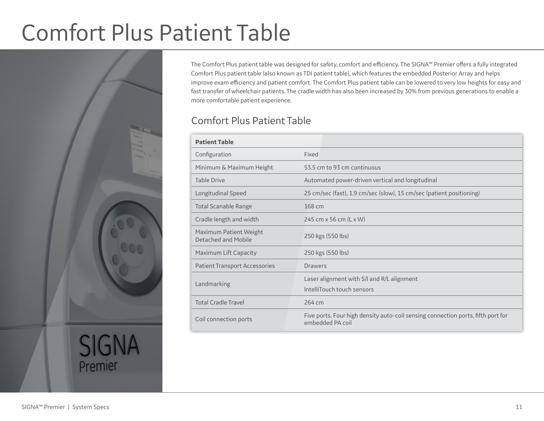## Comfort Plus Patient Table



The Comfort Plus patient table was designed for safety, comfort and efficiency. The SIGNA™ Premier offers a fully integrated Comfort Plus patient table (also known as TDI patient table), which features the embedded Posterior Array and helps improve exam efficiency and patient comfort. The Comfort Plus patient table can be lowered to very low heights for easy and fast transfer of wheelchair patients. The cradle width has also been increased by 30% from previous generations to enable a more comfortable patient experience.

### Comfort Plus Patient Table

| <b>Patient Table</b>                          |                                                                                                      |
|-----------------------------------------------|------------------------------------------------------------------------------------------------------|
| Configuration                                 | Fixed                                                                                                |
| Minimum & Maximum Height                      | 53.5 cm to 93 cm continuous                                                                          |
| <b>Table Drive</b>                            | Automated power-driven vertical and longitudinal                                                     |
| Longitudinal Speed                            | 25 cm/sec (fast), 1.9 cm/sec (slow), 15 cm/sec (patient positioning)                                 |
| <b>Total Scanable Range</b>                   | 168 cm                                                                                               |
| Cradle length and width                       | 245 cm x 56 cm (L x W)                                                                               |
| Maximum Patient Weight<br>Detached and Mobile | 250 kgs (550 lbs)                                                                                    |
| Maximum Lift Capacity                         | 250 kgs (550 lbs)                                                                                    |
| <b>Patient Transport Accessories</b>          | <b>Drawers</b>                                                                                       |
| Landmarking                                   | Laser alignment with S/I and R/L alignment<br>IntelliTouch touch sensors                             |
| <b>Total Cradle Travel</b>                    | 264 cm                                                                                               |
| Coil connection ports                         | Five ports. Four high density auto-coil sensing connection ports, fifth port for<br>embedded PA coil |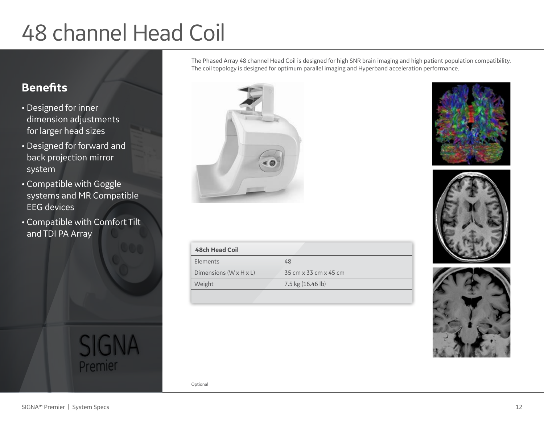## 48 channel Head Coil

### **Benefits**

- Designed for inner dimension adjustments for larger head sizes
- Designed for forward and back projection mirror system
- Compatible with Goggle systems and MR Compatible EEG devices
- Compatible with Comfort Tilt and TDI PA Array







| <b>48ch Head Coil</b>              |                       |
|------------------------------------|-----------------------|
| <b>Elements</b>                    | 48                    |
| Dimensions $(W \times H \times L)$ | 35 cm x 33 cm x 45 cm |
| <b>Weight</b>                      | 7.5 kg (16.46 lb)     |
|                                    |                       |

The Phased Array 48 channel Head Coil is designed for high SNR brain imaging and high patient population compatibility.

The coil topology is designed for optimum parallel imaging and Hyperband acceleration performance.

**SIGNA** Premier

Optional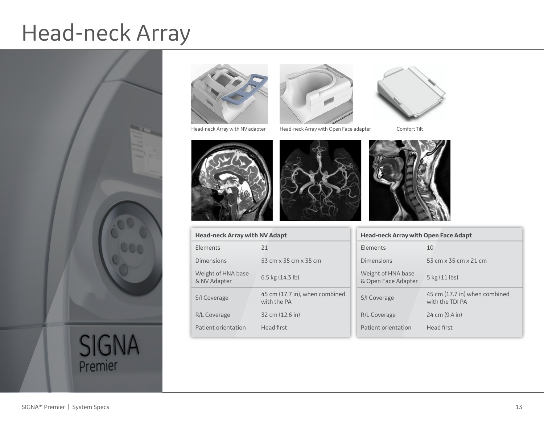## Head-neck Array





Head-neck Array with NV adapter Head-neck Array with Open Face adapter Comfort Tilt



Patient orientation Head first

Head Elem

Weig

 $R/L$  C

| <b>Head-neck Array with NV Adapt</b> |                                               |
|--------------------------------------|-----------------------------------------------|
| Elements                             | 21                                            |
| <b>Dimensions</b>                    | 53 cm x 35 cm x 35 cm                         |
| Weight of HNA base<br>& NV Adapter   | 6.5 kg $(14.3 \text{ lb})$                    |
| S/I Coverage                         | 45 cm (17.7 in), when combined<br>with the PA |
| R/L Coverage                         | 32 cm (12.6 in)                               |
|                                      |                                               |





| <b>Head-neck Array with Open Face Adapt</b> |                                                  |  |
|---------------------------------------------|--------------------------------------------------|--|
| Elements                                    | 10                                               |  |
| Dimensions                                  | 53 cm x 35 cm x 21 cm                            |  |
| Weight of HNA base<br>& Open Face Adapter   | 5 kg (11 lbs)                                    |  |
| S/I Coverage                                | 45 cm (17.7 in) when combined<br>with the TDI PA |  |
| R/L Coverage                                | $24 \text{ cm} (9.4 \text{ in})$                 |  |
| Patient orientation                         | Head first                                       |  |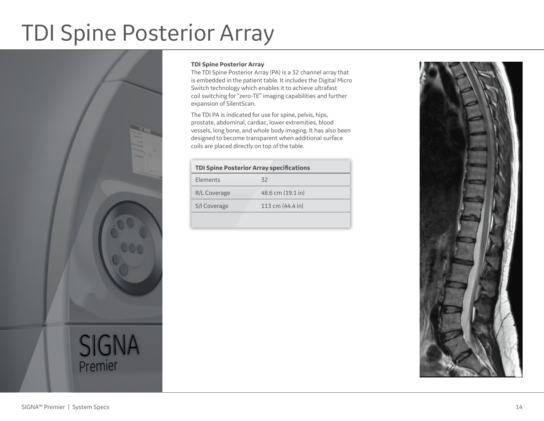## TDI Spine Posterior Array



#### **TDI Spine Posterior Array**

The TDI Spine Posterior Array (PA) is a 32 channel array that is embedded in the patient table. It includes the Digital Micro Switch technology which enables it to achieve ultrafast coil switching for "zero-TE" imaging capabilities and further expansion of SilentScan.

The TDI PA is indicated for use for spine, pelvis, hips, prostate, abdominal, cardiac, lower extremities, blood vessels, long bone, and whole body imaging. It has also been designed to become transparent when additional surface coils are placed directly on top of the table.

| <b>TDI Spine Posterior Array specifications</b> |                            |  |
|-------------------------------------------------|----------------------------|--|
| Elements                                        | 32                         |  |
| R/L Coverage                                    | 48.6 cm (19.1 in)          |  |
| S/I Coverage                                    | 113 cm $(44.4 \text{ in})$ |  |
|                                                 |                            |  |

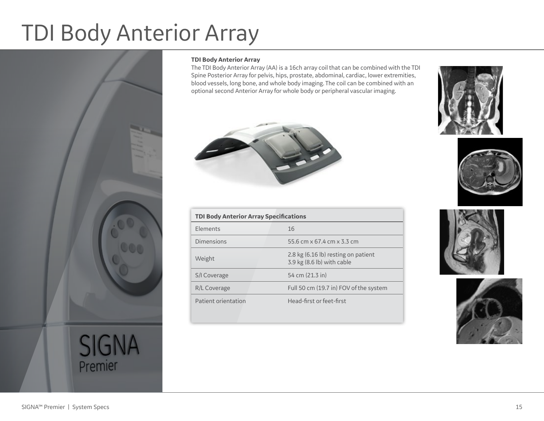## TDI Body Anterior Array



#### **TDI Body Anterior Array**

The TDI Body Anterior Array (AA) is a 16ch array coil that can be combined with the TDI Spine Posterior Array for pelvis, hips, prostate, abdominal, cardiac, lower extremities, blood vessels, long bone, and whole body imaging. The coil can be combined with an optional second Anterior Array for whole body or peripheral vascular imaging.



| <b>TDI Body Anterior Array Specifications</b> |                                                                   |
|-----------------------------------------------|-------------------------------------------------------------------|
| Elements                                      | 16                                                                |
| Dimensions                                    | 55.6 cm x 67.4 cm x 3.3 cm                                        |
| Weight                                        | 2.8 kg (6.16 lb) resting on patient<br>3.9 kg (8.6 lb) with cable |
| S/I Coverage                                  | 54 cm (21.3 in)                                                   |
| R/L Coverage                                  | Full 50 cm (19.7 in) FOV of the system                            |
| Patient orientation                           | Head-first or feet-first                                          |







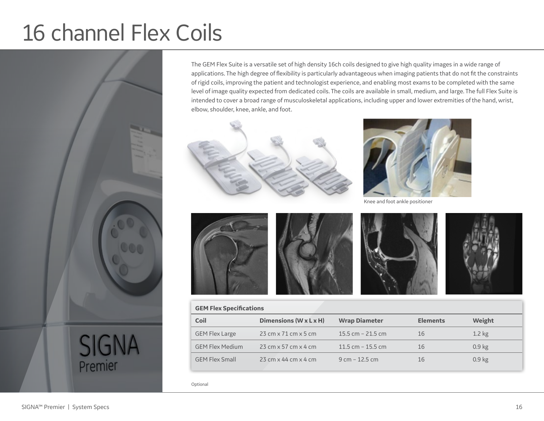## 16 channel Flex Coils



The GEM Flex Suite is a versatile set of high density 16ch coils designed to give high quality images in a wide range of applications. The high degree of flexibility is particularly advantageous when imaging patients that do not fit the constraints of rigid coils, improving the patient and technologist experience, and enabling most exams to be completed with the same level of image quality expected from dedicated coils. The coils are available in small, medium, and large. The full Flex Suite is intended to cover a broad range of musculoskeletal applications, including upper and lower extremities of the hand, wrist, elbow, shoulder, knee, ankle, and foot.





Knee and foot ankle positioner









| <b>GEM Flex Specifications</b> |                                                          |                      |                 |                   |
|--------------------------------|----------------------------------------------------------|----------------------|-----------------|-------------------|
| Coil                           | Dimensions ( $W \times L \times H$ )                     | <b>Wrap Diameter</b> | <b>Elements</b> | Weight            |
| <b>GEM Flex Large</b>          | $23 \text{ cm} \times 71 \text{ cm} \times 5 \text{ cm}$ | 15.5 cm $-$ 21.5 cm  | 16              | $1.2$ kg          |
| <b>GEM Flex Medium</b>         | $23 \text{ cm} \times 57 \text{ cm} \times 4 \text{ cm}$ | 11.5 cm $-$ 15.5 cm  | 16              | 0.9 <sub>kg</sub> |
| <b>GEM Flex Small</b>          | $23 \text{ cm} \times 44 \text{ cm} \times 4 \text{ cm}$ | $9 cm - 12.5 cm$     | 16              | 0.9 <sub>kg</sub> |

Optional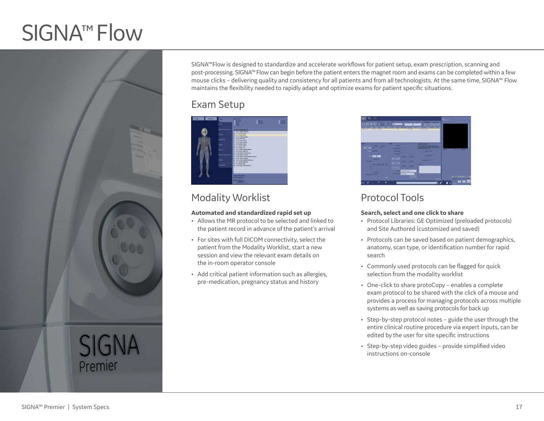## SIGNA<sup>™</sup> Flow



SIGNA™Flow is designed to standardize and accelerate workflows for patient setup, exam prescription, scanning and post-processing. SIGNA™Flow can begin before the patient enters the magnet room and exams can be completed within a few mouse clicks – delivering quality and consistency for all patients and from all technologists. At the same time, SIGNA™ Flow maintains the flexibility needed to rapidly adapt and optimize exams for patient specific situations.

### Exam Setup

| <b>Think</b><br><b>Class</b> | ---<br>. .                                                                                     | _ | --<br>_ |
|------------------------------|------------------------------------------------------------------------------------------------|---|---------|
|                              | -                                                                                              |   |         |
|                              | _____                                                                                          |   |         |
|                              | of all times hopes<br><b>IN BATMARKANE</b><br><b>IS ILE ROAD BOAT</b>                          |   |         |
|                              | <b>CA TA FAIR FRAME READS</b><br>as in controllers.                                            |   |         |
|                              | the time doesn't know.<br>THE R. P. LEWIS CO., LANSING MICH.<br>THE R. P. LEWIS CO., LANSING   |   |         |
|                              | to this does them.<br>THE PAID POINT OF                                                        |   |         |
|                              | and the time of the process of<br>12 IS & Break Stop Sea<br>to A in Auto Associate             |   |         |
|                              | or 14.04 dogs based<br>12 A.M. Bob: Entertrierier Major                                        |   |         |
|                              | <b>LETTRICHER</b><br>the Child Ave. Next and pro-<br><b>THE R. P. LEWIS CO., LANSING MICH.</b> |   |         |
|                              | <b>CLANSING</b><br>12 IS IN THE 275 WAY                                                        |   |         |
|                              |                                                                                                |   |         |
|                              | <b><i><u>Programmation</u></i></b>                                                             |   |         |
|                              | <b>HARABAS</b>                                                                                 |   |         |
|                              | <b><i><u>Contract Charles Link</u></i></b><br><b>Lease Line</b>                                |   |         |

### Modality Worklist

#### **Automated and standardized rapid set up**

- Allows the MR protocol to be selected and linked to the patient record in advance of the patient's arrival
- For sites with full DICOM connectivity, select the patient from the Modality Worklist, start a new session and view the relevant exam details on the in-room operator console
- Add critical patient information such as allergies, pre-medication, pregnancy status and history

| __<br>--<br>۰<br>                                          | -                                                      | ___<br>_____                                                                                                                                                                                                                                                                                             |                                |
|------------------------------------------------------------|--------------------------------------------------------|----------------------------------------------------------------------------------------------------------------------------------------------------------------------------------------------------------------------------------------------------------------------------------------------------------|--------------------------------|
| -<br>-<br><b>WANTED STATES</b><br>where you<br>.<br>œ<br>٠ | 114<br>×                                               | work has been                                                                                                                                                                                                                                                                                            |                                |
| --<br>_<br>_<br>٠<br>-<br>n                                | -<br>-<br>__                                           | ----<br><b>But the Art of Concern and States</b><br><u>The property of the contract of the contract of the contract of the contract of the contract of the contract of the contract of the contract of the contract of the contract of the contract of the contract of the contract </u><br>_____<br>. . | and the state of the local     |
| _<br>. .<br>--<br>--<br>--                                 | ---<br>-<br>-<br>_<br>-<br>-<br>-<br>-                 | --<br>.<br>---                                                                                                                                                                                                                                                                                           |                                |
| ----<br>. .<br><b>STATE</b>                                | -<br>_<br>_<br>_<br>---<br>_<br>the state does closed. | -                                                                                                                                                                                                                                                                                                        |                                |
| ____                                                       | _<br>--<br>٠                                           |                                                                                                                                                                                                                                                                                                          | <b>MAY 24</b><br>$\frac{1}{2}$ |

### Protocol Tools

#### **Search, select and one click to share**

- Protocol Libraries: GE Optimized (preloaded protocols) and Site Authored (customized and saved)
- Protocols can be saved based on patient demographics, anatomy, scan type, or identification number for rapid search
- Commonly used protocols can be flagged for quick selection from the modality worklist
- One-click to share protoCopy enables a complete exam protocol to be shared with the click of a mouse and provides a process for managing protocols across multiple systems as well as saving protocols for back up
- Step-by-step protocol notes guide the user through the entire clinical routine procedure via expert inputs, can be edited by the user for site specific instructions
- Step-by-step video guides provide simplified video instructions on-console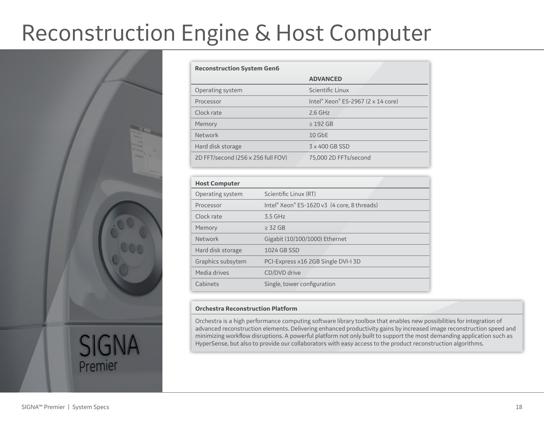## Reconstruction Engine & Host Computer



| <b>Reconstruction System Gen6</b>  |                                    |
|------------------------------------|------------------------------------|
|                                    | <b>ADVANCED</b>                    |
| Operating system                   | Scientific Linux                   |
| Processor                          | Intel® Xeon® E5-2967 (2 x 14 core) |
| Clock rate                         | $2.6$ GHz                          |
| Memory                             | $\geq$ 192 GB                      |
| Network                            | $10$ GbE                           |
| Hard disk storage                  | 3 x 400 GB SSD                     |
| 2D FFT/second (256 x 256 full FOV) | 75,000 2D FFTs/second              |

| <b>Host Computer</b> |                                             |
|----------------------|---------------------------------------------|
| Operating system     | Scientific Linux (RT)                       |
| Processor            | Intel® Xeon® E5-1620 v3 (4 core, 8 threads) |
| Clock rate           | $3.5$ GHz                                   |
| Memory               | $\geq$ 32 GB                                |
| Network              | Gigabit (10/100/1000) Ethernet              |
| Hard disk storage    | 1024 GB SSD                                 |
| Graphics subsytem    | PCI-Express x16 2GB Single DVI-I 3D         |
| Media drives         | CD/DVD drive                                |
| Cabinets             | Single, tower configuration                 |

#### **Orchestra Reconstruction Platform**

Orchestra is a high performance computing software library toolbox that enables new possibilities for integration of advanced reconstruction elements. Delivering enhanced productivity gains by increased image reconstruction speed and minimizing workflow disruptions. A powerful platform not only built to support the most demanding application such as HyperSense, but also to provide our collaborators with easy access to the product reconstruction algorithms.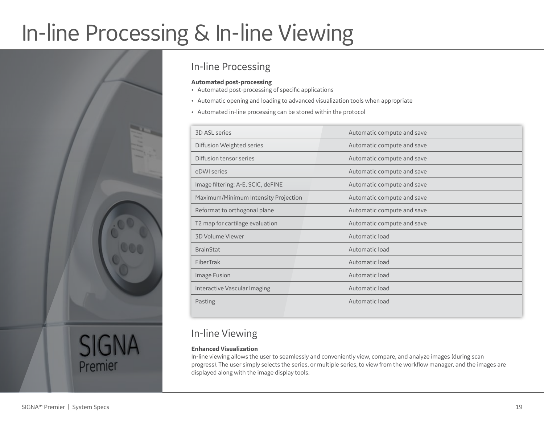## In-line Processing & In-line Viewing



### In-line Processing

#### **Automated post-processing**

- Automated post-processing of specific applications
- Automatic opening and loading to advanced visualization tools when appropriate
- Automated in-line processing can be stored within the protocol

| <b>3D ASL series</b>                 | Automatic compute and save |
|--------------------------------------|----------------------------|
| Diffusion Weighted series            | Automatic compute and save |
| Diffusion tensor series              | Automatic compute and save |
| eDWI series                          | Automatic compute and save |
| Image filtering: A-E, SCIC, deFINE   | Automatic compute and save |
| Maximum/Minimum Intensity Projection | Automatic compute and save |
| Reformat to orthogonal plane         | Automatic compute and save |
| T2 map for cartilage evaluation      | Automatic compute and save |
| 3D Volume Viewer                     | Automatic load             |
| <b>BrainStat</b>                     | Automatic load             |
| FiberTrak                            | Automatic load             |
| Image Fusion                         | Automatic load             |
| Interactive Vascular Imaging         | Automatic load             |
| Pasting                              | Automatic load             |
|                                      |                            |

### In-line Viewing

#### **Enhanced Visualization**

In-line viewing allows the user to seamlessly and conveniently view, compare, and analyze images (during scan progress). The user simply selects the series, or multiple series, to view from the workflow manager, and the images are displayed along with the image display tools.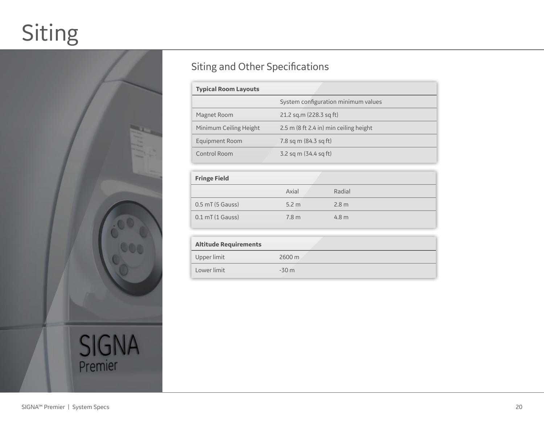## Siting



### Siting and Other Specifications

| <b>Typical Room Layouts</b> |                                        |
|-----------------------------|----------------------------------------|
|                             | System configuration minimum values    |
| Magnet Room                 | 21.2 sq.m (228.3 sq ft)                |
| Minimum Ceiling Height      | 2.5 m (8 ft 2.4 in) min ceiling height |
| Equipment Room              | 7.8 sq m (84.3 sq ft)                  |
| Control Room                | 3.2 sq m $(34.4 \text{ sq ft})$        |

| <b>Fringe Field</b>  |                  |                  |
|----------------------|------------------|------------------|
|                      | Axial            | Radial           |
| $0.5$ mT $(5$ Gauss) | 5.2 <sub>m</sub> | 2.8 <sub>m</sub> |
| $0.1$ mT (1 Gauss)   | 7.8 <sub>m</sub> | 4.8 <sub>m</sub> |

| <b>Altitude Requirements</b> |                     |
|------------------------------|---------------------|
| Upper limit                  | $2600 \,\mathrm{m}$ |
| Lower limit                  | $-30m$              |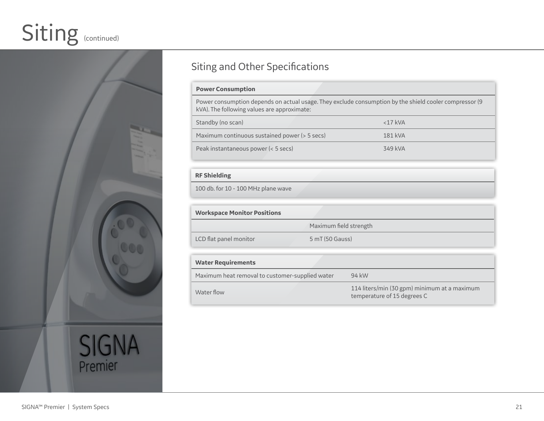## Siting (continued)



### Siting and Other Specifications

#### **Power Consumption**

Power consumption depends on actual usage. They exclude consumption by the shield cooler compressor (9 kVA). The following values are approximate:

| Standby (no scan)                             | $<$ 17 kVA |
|-----------------------------------------------|------------|
| Maximum continuous sustained power (> 5 secs) | 181 kVA    |
| Peak instantaneous power (< 5 secs)           | 349 kVA    |

#### **RF Shielding**

100 db. for 10 - 100 MHz plane wave

| <b>Workspace Monitor Positions</b>                       |                        |  |  |
|----------------------------------------------------------|------------------------|--|--|
|                                                          | Maximum field strength |  |  |
| LCD flat panel monitor                                   | 5 mT (50 Gauss)        |  |  |
| <b>Water Requirements</b>                                |                        |  |  |
| Maximum heat removal to customer-supplied water<br>94 kW |                        |  |  |

Water flow 114 liters/min (30 gpm) minimum at a maximum temperature of 15 degrees C